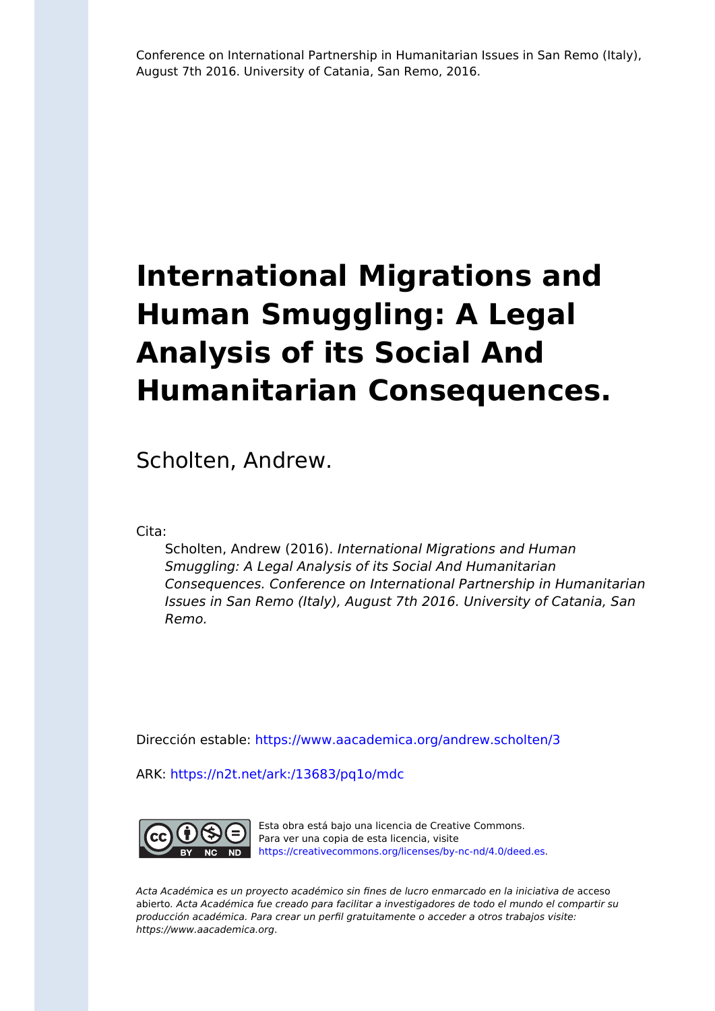Conference on International Partnership in Humanitarian Issues in San Remo (Italy), August 7th 2016. University of Catania, San Remo, 2016.

# **International Migrations and Human Smuggling: A Legal Analysis of its Social And Humanitarian Consequences.**

Scholten, Andrew.

Cita:

Scholten, Andrew (2016). International Migrations and Human Smuggling: A Legal Analysis of its Social And Humanitarian Consequences. Conference on International Partnership in Humanitarian Issues in San Remo (Italy), August 7th 2016. University of Catania, San Remo.

Dirección estable:<https://www.aacademica.org/andrew.scholten/3>

ARK: <https://n2t.net/ark:/13683/pq1o/mdc>



Esta obra está bajo una licencia de Creative Commons. Para ver una copia de esta licencia, visite [https://creativecommons.org/licenses/by-nc-nd/4.0/deed.es.](https://creativecommons.org/licenses/by-nc-nd/4.0/deed.es)

Acta Académica es un proyecto académico sin fines de lucro enmarcado en la iniciativa de acceso abierto. Acta Académica fue creado para facilitar a investigadores de todo el mundo el compartir su producción académica. Para crear un perfil gratuitamente o acceder a otros trabajos visite: https://www.aacademica.org.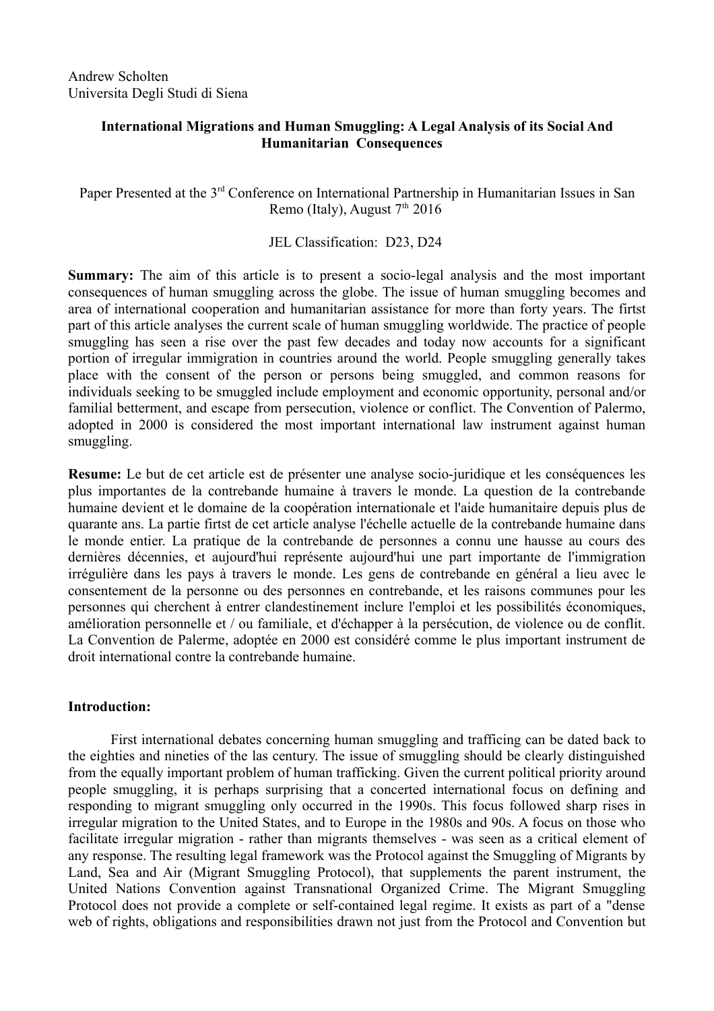# **International Migrations and Human Smuggling: A Legal Analysis of its Social And Humanitarian Consequences**

Paper Presented at the 3<sup>rd</sup> Conference on International Partnership in Humanitarian Issues in San Remo (Italy), August  $7<sup>th</sup> 2016$ 

## JEL Classification: D23, D24

**Summary:** The aim of this article is to present a socio-legal analysis and the most important consequences of human smuggling across the globe. The issue of human smuggling becomes and area of international cooperation and humanitarian assistance for more than forty years. The firtst part of this article analyses the current scale of human smuggling worldwide. The practice of people smuggling has seen a rise over the past few decades and today now accounts for a significant portion of irregular immigration in countries around the world. People smuggling generally takes place with the consent of the person or persons being smuggled, and common reasons for individuals seeking to be smuggled include employment and economic opportunity, personal and/or familial betterment, and escape from persecution, violence or conflict. The Convention of Palermo, adopted in 2000 is considered the most important international law instrument against human smuggling.

**Resume:** Le but de cet article est de présenter une analyse socio-juridique et les conséquences les plus importantes de la contrebande humaine à travers le monde. La question de la contrebande humaine devient et le domaine de la coopération internationale et l'aide humanitaire depuis plus de quarante ans. La partie firtst de cet article analyse l'échelle actuelle de la contrebande humaine dans le monde entier. La pratique de la contrebande de personnes a connu une hausse au cours des dernières décennies, et aujourd'hui représente aujourd'hui une part importante de l'immigration irrégulière dans les pays à travers le monde. Les gens de contrebande en général a lieu avec le consentement de la personne ou des personnes en contrebande, et les raisons communes pour les personnes qui cherchent à entrer clandestinement inclure l'emploi et les possibilités économiques, amélioration personnelle et / ou familiale, et d'échapper à la persécution, de violence ou de conflit. La Convention de Palerme, adoptée en 2000 est considéré comme le plus important instrument de droit international contre la contrebande humaine.

### **Introduction:**

First international debates concerning human smuggling and trafficing can be dated back to the eighties and nineties of the las century. The issue of smuggling should be clearly distinguished from the equally important problem of human trafficking. Given the current political priority around people smuggling, it is perhaps surprising that a concerted international focus on defining and responding to migrant smuggling only occurred in the 1990s. This focus followed sharp rises in irregular migration to the United States, and to Europe in the 1980s and 90s. A focus on those who facilitate irregular migration - rather than migrants themselves - was seen as a critical element of any response. The resulting legal framework was the Protocol against the Smuggling of Migrants by Land, Sea and Air (Migrant Smuggling Protocol), that supplements the parent instrument, the United Nations Convention against Transnational Organized Crime. The Migrant Smuggling Protocol does not provide a complete or self-contained legal regime. It exists as part of a "dense web of rights, obligations and responsibilities drawn not just from the Protocol and Convention but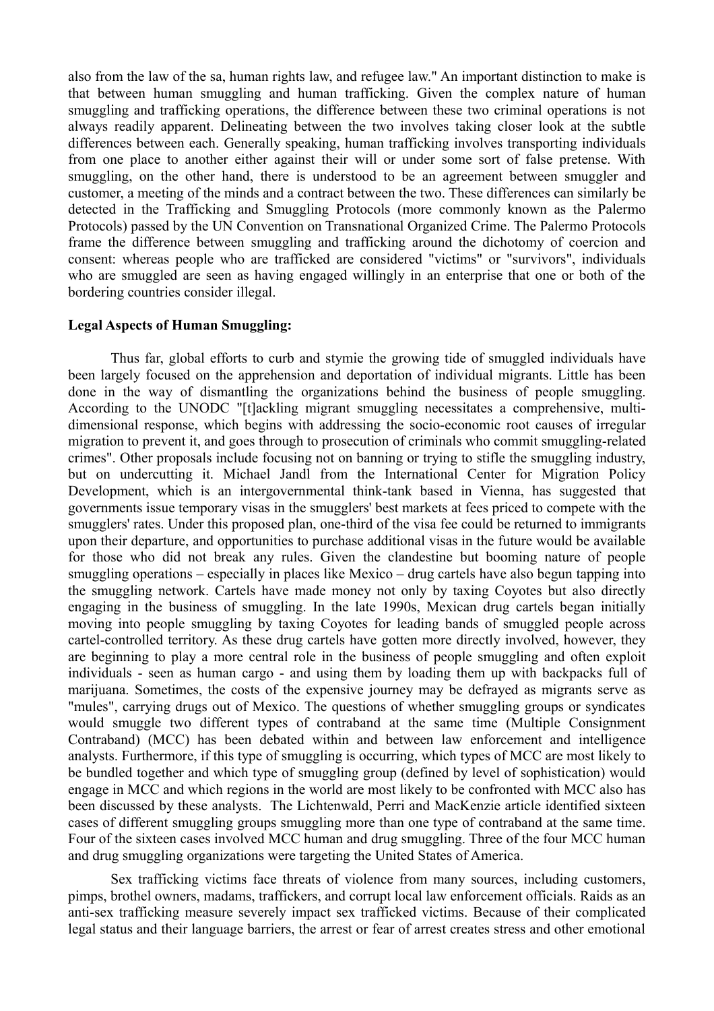also from the law of the sa, human rights law, and refugee law." An important distinction to make is that between human smuggling and human trafficking. Given the complex nature of human smuggling and trafficking operations, the difference between these two criminal operations is not always readily apparent. Delineating between the two involves taking closer look at the subtle differences between each. Generally speaking, human trafficking involves transporting individuals from one place to another either against their will or under some sort of false pretense. With smuggling, on the other hand, there is understood to be an agreement between smuggler and customer, a meeting of the minds and a contract between the two. These differences can similarly be detected in the Trafficking and Smuggling Protocols (more commonly known as the Palermo Protocols) passed by the UN Convention on Transnational Organized Crime. The Palermo Protocols frame the difference between smuggling and trafficking around the dichotomy of coercion and consent: whereas people who are trafficked are considered "victims" or "survivors", individuals who are smuggled are seen as having engaged willingly in an enterprise that one or both of the bordering countries consider illegal.

## **Legal Aspects of Human Smuggling:**

Thus far, global efforts to curb and stymie the growing tide of smuggled individuals have been largely focused on the apprehension and deportation of individual migrants. Little has been done in the way of dismantling the organizations behind the business of people smuggling. According to the UNODC "[t]ackling migrant smuggling necessitates a comprehensive, multidimensional response, which begins with addressing the socio-economic root causes of irregular migration to prevent it, and goes through to prosecution of criminals who commit smuggling-related crimes". Other proposals include focusing not on banning or trying to stifle the smuggling industry, but on undercutting it. Michael Jandl from the International Center for Migration Policy Development, which is an intergovernmental think-tank based in Vienna, has suggested that governments issue temporary visas in the smugglers' best markets at fees priced to compete with the smugglers' rates. Under this proposed plan, one-third of the visa fee could be returned to immigrants upon their departure, and opportunities to purchase additional visas in the future would be available for those who did not break any rules. Given the clandestine but booming nature of people smuggling operations – especially in places like Mexico – drug cartels have also begun tapping into the smuggling network. Cartels have made money not only by taxing Coyotes but also directly engaging in the business of smuggling. In the late 1990s, Mexican drug cartels began initially moving into people smuggling by taxing Coyotes for leading bands of smuggled people across cartel-controlled territory. As these drug cartels have gotten more directly involved, however, they are beginning to play a more central role in the business of people smuggling and often exploit individuals - seen as human cargo - and using them by loading them up with backpacks full of marijuana. Sometimes, the costs of the expensive journey may be defrayed as migrants serve as "mules", carrying drugs out of Mexico. The questions of whether smuggling groups or syndicates would smuggle two different types of contraband at the same time (Multiple Consignment Contraband) (MCC) has been debated within and between law enforcement and intelligence analysts. Furthermore, if this type of smuggling is occurring, which types of MCC are most likely to be bundled together and which type of smuggling group (defined by level of sophistication) would engage in MCC and which regions in the world are most likely to be confronted with MCC also has been discussed by these analysts. The Lichtenwald, Perri and MacKenzie article identified sixteen cases of different smuggling groups smuggling more than one type of contraband at the same time. Four of the sixteen cases involved MCC human and drug smuggling. Three of the four MCC human and drug smuggling organizations were targeting the United States of America.

Sex trafficking victims face threats of violence from many sources, including customers, pimps, brothel owners, madams, traffickers, and corrupt local law enforcement officials. Raids as an anti-sex trafficking measure severely impact sex trafficked victims. Because of their complicated legal status and their language barriers, the arrest or fear of arrest creates stress and other emotional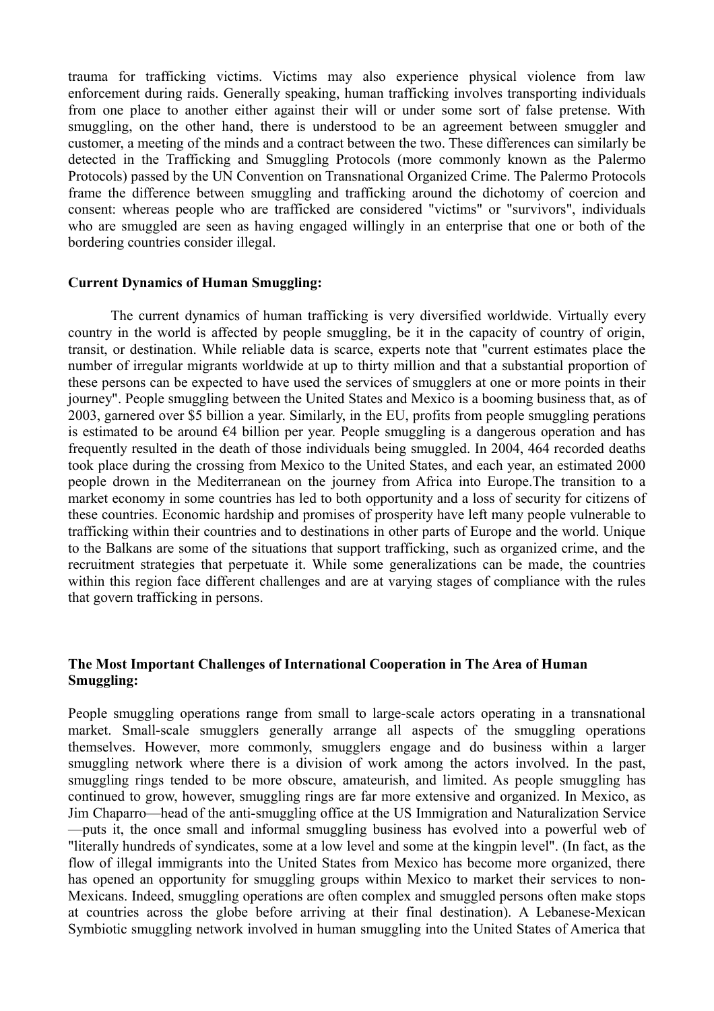trauma for trafficking victims. Victims may also experience physical violence from law enforcement during raids. Generally speaking, human trafficking involves transporting individuals from one place to another either against their will or under some sort of false pretense. With smuggling, on the other hand, there is understood to be an agreement between smuggler and customer, a meeting of the minds and a contract between the two. These differences can similarly be detected in the Trafficking and Smuggling Protocols (more commonly known as the Palermo Protocols) passed by the UN Convention on Transnational Organized Crime. The Palermo Protocols frame the difference between smuggling and trafficking around the dichotomy of coercion and consent: whereas people who are trafficked are considered "victims" or "survivors", individuals who are smuggled are seen as having engaged willingly in an enterprise that one or both of the bordering countries consider illegal.

#### **Current Dynamics of Human Smuggling:**

The current dynamics of human trafficking is very diversified worldwide. Virtually every country in the world is affected by people smuggling, be it in the capacity of country of origin, transit, or destination. While reliable data is scarce, experts note that "current estimates place the number of irregular migrants worldwide at up to thirty million and that a substantial proportion of these persons can be expected to have used the services of smugglers at one or more points in their journey". People smuggling between the United States and Mexico is a booming business that, as of 2003, garnered over \$5 billion a year. Similarly, in the EU, profits from people smuggling perations is estimated to be around  $\epsilon$ 4 billion per year. People smuggling is a dangerous operation and has frequently resulted in the death of those individuals being smuggled. In 2004, 464 recorded deaths took place during the crossing from Mexico to the United States, and each year, an estimated 2000 people drown in the Mediterranean on the journey from Africa into Europe.The transition to a market economy in some countries has led to both opportunity and a loss of security for citizens of these countries. Economic hardship and promises of prosperity have left many people vulnerable to trafficking within their countries and to destinations in other parts of Europe and the world. Unique to the Balkans are some of the situations that support trafficking, such as organized crime, and the recruitment strategies that perpetuate it. While some generalizations can be made, the countries within this region face different challenges and are at varying stages of compliance with the rules that govern trafficking in persons.

# **The Most Important Challenges of International Cooperation in The Area of Human Smuggling:**

People smuggling operations range from small to large-scale actors operating in a transnational market. Small-scale smugglers generally arrange all aspects of the smuggling operations themselves. However, more commonly, smugglers engage and do business within a larger smuggling network where there is a division of work among the actors involved. In the past, smuggling rings tended to be more obscure, amateurish, and limited. As people smuggling has continued to grow, however, smuggling rings are far more extensive and organized. In Mexico, as Jim Chaparro—head of the anti-smuggling office at the US Immigration and Naturalization Service —puts it, the once small and informal smuggling business has evolved into a powerful web of "literally hundreds of syndicates, some at a low level and some at the kingpin level". (In fact, as the flow of illegal immigrants into the United States from Mexico has become more organized, there has opened an opportunity for smuggling groups within Mexico to market their services to non-Mexicans. Indeed, smuggling operations are often complex and smuggled persons often make stops at countries across the globe before arriving at their final destination). A Lebanese-Mexican Symbiotic smuggling network involved in human smuggling into the United States of America that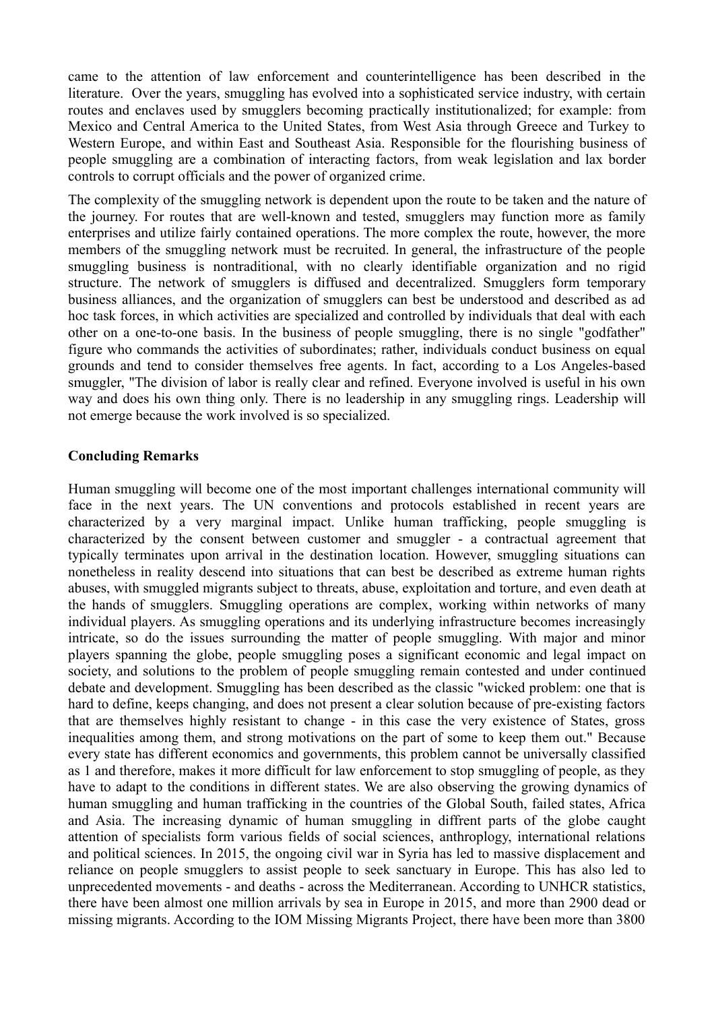came to the attention of law enforcement and counterintelligence has been described in the literature. Over the years, smuggling has evolved into a sophisticated service industry, with certain routes and enclaves used by smugglers becoming practically institutionalized; for example: from Mexico and Central America to the United States, from West Asia through Greece and Turkey to Western Europe, and within East and Southeast Asia. Responsible for the flourishing business of people smuggling are a combination of interacting factors, from weak legislation and lax border controls to corrupt officials and the power of organized crime.

The complexity of the smuggling network is dependent upon the route to be taken and the nature of the journey. For routes that are well-known and tested, smugglers may function more as family enterprises and utilize fairly contained operations. The more complex the route, however, the more members of the smuggling network must be recruited. In general, the infrastructure of the people smuggling business is nontraditional, with no clearly identifiable organization and no rigid structure. The network of smugglers is diffused and decentralized. Smugglers form temporary business alliances, and the organization of smugglers can best be understood and described as ad hoc task forces, in which activities are specialized and controlled by individuals that deal with each other on a one-to-one basis. In the business of people smuggling, there is no single "godfather" figure who commands the activities of subordinates; rather, individuals conduct business on equal grounds and tend to consider themselves free agents. In fact, according to a Los Angeles-based smuggler, "The division of labor is really clear and refined. Everyone involved is useful in his own way and does his own thing only. There is no leadership in any smuggling rings. Leadership will not emerge because the work involved is so specialized.

# **Concluding Remarks**

Human smuggling will become one of the most important challenges international community will face in the next years. The UN conventions and protocols established in recent years are characterized by a very marginal impact. Unlike human trafficking, people smuggling is characterized by the consent between customer and smuggler - a contractual agreement that typically terminates upon arrival in the destination location. However, smuggling situations can nonetheless in reality descend into situations that can best be described as extreme human rights abuses, with smuggled migrants subject to threats, abuse, exploitation and torture, and even death at the hands of smugglers. Smuggling operations are complex, working within networks of many individual players. As smuggling operations and its underlying infrastructure becomes increasingly intricate, so do the issues surrounding the matter of people smuggling. With major and minor players spanning the globe, people smuggling poses a significant economic and legal impact on society, and solutions to the problem of people smuggling remain contested and under continued debate and development. Smuggling has been described as the classic "wicked problem: one that is hard to define, keeps changing, and does not present a clear solution because of pre-existing factors that are themselves highly resistant to change - in this case the very existence of States, gross inequalities among them, and strong motivations on the part of some to keep them out." Because every state has different economics and governments, this problem cannot be universally classified as 1 and therefore, makes it more difficult for law enforcement to stop smuggling of people, as they have to adapt to the conditions in different states. We are also observing the growing dynamics of human smuggling and human trafficking in the countries of the Global South, failed states, Africa and Asia. The increasing dynamic of human smuggling in diffrent parts of the globe caught attention of specialists form various fields of social sciences, anthroplogy, international relations and political sciences. In 2015, the ongoing civil war in Syria has led to massive displacement and reliance on people smugglers to assist people to seek sanctuary in Europe. This has also led to unprecedented movements - and deaths - across the Mediterranean. According to UNHCR statistics, there have been almost one million arrivals by sea in Europe in 2015, and more than 2900 dead or missing migrants. According to the IOM Missing Migrants Project, there have been more than 3800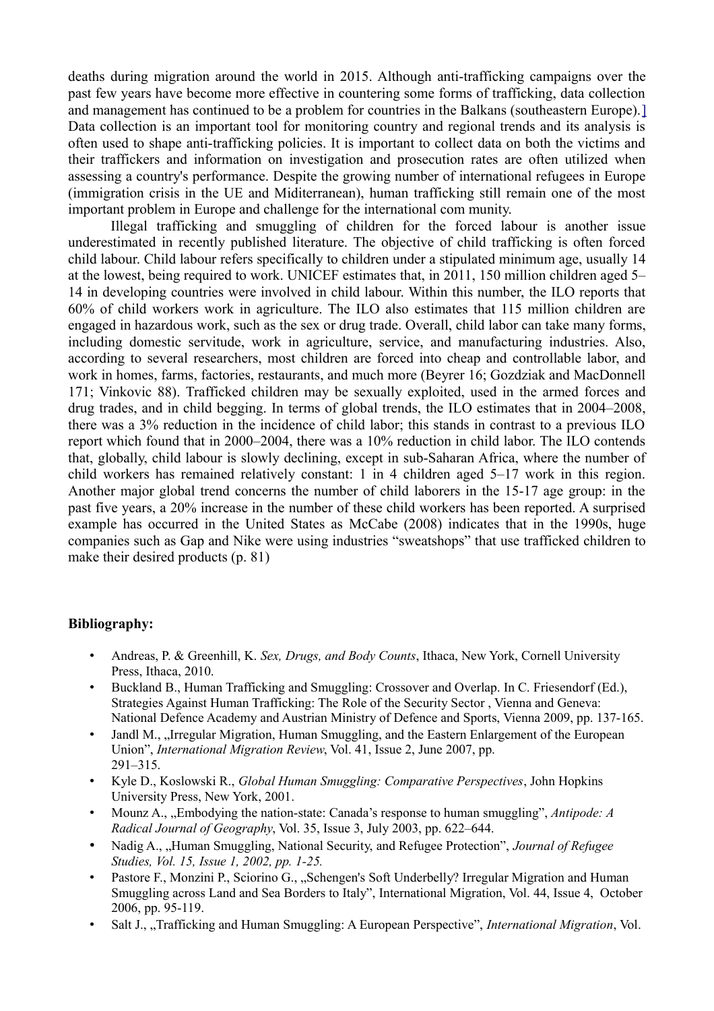deaths during migration around the world in 2015. Although anti-trafficking campaigns over the past few years have become more effective in countering some forms of trafficking, data collection and management has continued to be a problem for countries in the Balkans (southeastern Europe).[\]](https://en.wikipedia.org/wiki/Human_trafficking_in_Europe#cite_note-ICMPD-9) Data collection is an important tool for monitoring country and regional trends and its analysis is often used to shape anti-trafficking policies. It is important to collect data on both the victims and their traffickers and information on investigation and prosecution rates are often utilized when assessing a country's performance. Despite the growing number of international refugees in Europe (immigration crisis in the UE and Miditerranean), human trafficking still remain one of the most important problem in Europe and challenge for the international com munity.

Illegal trafficking and smuggling of children for the forced labour is another issue underestimated in recently published literature. The objective of child trafficking is often forced child labour. Child labour refers specifically to children under a stipulated minimum age, usually 14 at the lowest, being required to work. UNICEF estimates that, in 2011, 150 million children aged 5– 14 in developing countries were involved in child labour. Within this number, the ILO reports that 60% of child workers work in agriculture. The ILO also estimates that 115 million children are engaged in hazardous work, such as the sex or drug trade. Overall, child labor can take many forms, including domestic servitude, work in agriculture, service, and manufacturing industries. Also, according to several researchers, most children are forced into cheap and controllable labor, and work in homes, farms, factories, restaurants, and much more (Beyrer 16; Gozdziak and MacDonnell 171; Vinkovic 88). Trafficked children may be sexually exploited, used in the armed forces and drug trades, and in child begging. In terms of global trends, the ILO estimates that in 2004–2008, there was a 3% reduction in the incidence of child labor; this stands in contrast to a previous ILO report which found that in 2000–2004, there was a 10% reduction in child labor. The ILO contends that, globally, child labour is slowly declining, except in sub-Saharan Africa, where the number of child workers has remained relatively constant: 1 in 4 children aged 5–17 work in this region. Another major global trend concerns the number of child laborers in the 15-17 age group: in the past five years, a 20% increase in the number of these child workers has been reported. A surprised example has occurred in the United States as McCabe (2008) indicates that in the 1990s, huge companies such as Gap and Nike were using industries "sweatshops" that use trafficked children to make their desired products (p. 81)

### **Bibliography:**

- Andreas, P. & Greenhill, K. *Sex, Drugs, and Body Counts*, Ithaca, New York, Cornell University Press, Ithaca, 2010.
- Buckland B., Human Trafficking and Smuggling: Crossover and Overlap. In C. Friesendorf (Ed.), Strategies Against Human Trafficking: The Role of the Security Sector , Vienna and Geneva: National Defence Academy and Austrian Ministry of Defence and Sports, Vienna 2009, pp. 137-165.
- Jandl M., "Irregular Migration, Human Smuggling, and the Eastern Enlargement of the European Union", *International Migration Review*, Vol. 41, Issue 2, June 2007, pp. 291–315.
- Kyle D., Koslowski R., *Global Human Smuggling: Comparative Perspectives*, John Hopkins University Press, New York, 2001.
- Mounz A., "Embodying the nation-state: Canada's response to human smuggling", *Antipode: A Radical Journal of Geography*, Vol. 35, Issue 3, July 2003, pp. 622–644.
- Nadig A., "Human Smuggling, National Security, and Refugee Protection", *Journal of Refugee Studies, Vol. 15, Issue 1, 2002, pp. 1-25.*
- Pastore F., Monzini P., Sciorino G., "Schengen's Soft Underbelly? Irregular Migration and Human Smuggling across Land and Sea Borders to Italy", International Migration, Vol. 44, Issue 4, October 2006, pp. 95-119.
- Salt J., "Trafficking and Human Smuggling: A European Perspective", *International Migration*, Vol.